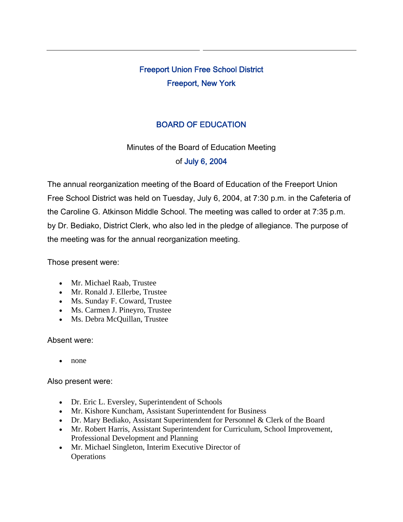# Freeport Union Free School District Freeport, New York

# BOARD OF EDUCATION

Minutes of the Board of Education Meeting of July 6, 2004

The annual reorganization meeting of the Board of Education of the Freeport Union Free School District was held on Tuesday, July 6, 2004, at 7:30 p.m. in the Cafeteria of the Caroline G. Atkinson Middle School. The meeting was called to order at 7:35 p.m. by Dr. Bediako, District Clerk, who also led in the pledge of allegiance. The purpose of the meeting was for the annual reorganization meeting.

Those present were:

- Mr. Michael Raab, Trustee
- Mr. Ronald J. Ellerbe, Trustee
- Ms. Sunday F. Coward, Trustee
- Ms. Carmen J. Pineyro, Trustee
- Ms. Debra McQuillan, Trustee

#### Absent were:

• none

Also present were:

- Dr. Eric L. Eversley, Superintendent of Schools
- Mr. Kishore Kuncham, Assistant Superintendent for Business
- Dr. Mary Bediako, Assistant Superintendent for Personnel & Clerk of the Board
- Mr. Robert Harris, Assistant Superintendent for Curriculum, School Improvement, Professional Development and Planning
- Mr. Michael Singleton, Interim Executive Director of **Operations**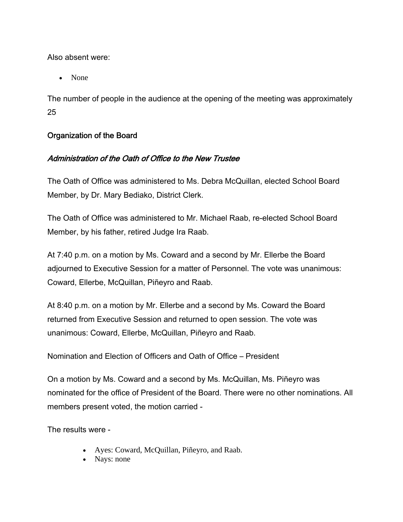Also absent were:

• None

The number of people in the audience at the opening of the meeting was approximately 25

# Organization of the Board

# Administration of the Oath of Office to the New Trustee

The Oath of Office was administered to Ms. Debra McQuillan, elected School Board Member, by Dr. Mary Bediako, District Clerk.

The Oath of Office was administered to Mr. Michael Raab, re-elected School Board Member, by his father, retired Judge Ira Raab.

At 7:40 p.m. on a motion by Ms. Coward and a second by Mr. Ellerbe the Board adjourned to Executive Session for a matter of Personnel. The vote was unanimous: Coward, Ellerbe, McQuillan, Piñeyro and Raab.

At 8:40 p.m. on a motion by Mr. Ellerbe and a second by Ms. Coward the Board returned from Executive Session and returned to open session. The vote was unanimous: Coward, Ellerbe, McQuillan, Piñeyro and Raab.

Nomination and Election of Officers and Oath of Office – President

On a motion by Ms. Coward and a second by Ms. McQuillan, Ms. Piñeyro was nominated for the office of President of the Board. There were no other nominations. All members present voted, the motion carried -

The results were -

- Ayes: Coward, McQuillan, Piñeyro, and Raab.
- Nays: none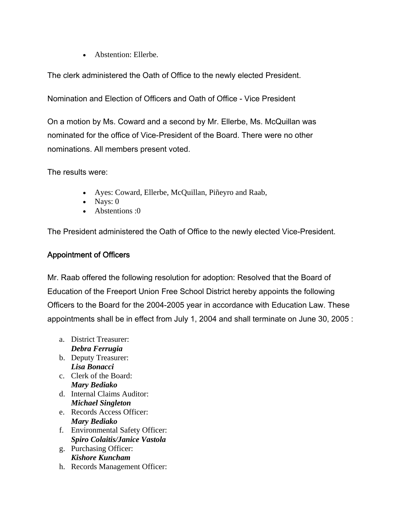• Abstention: Ellerbe.

The clerk administered the Oath of Office to the newly elected President.

Nomination and Election of Officers and Oath of Office - Vice President

On a motion by Ms. Coward and a second by Mr. Ellerbe, Ms. McQuillan was nominated for the office of Vice-President of the Board. There were no other nominations. All members present voted.

The results were:

- Ayes: Coward, Ellerbe, McQuillan, Piñeyro and Raab,
- Nays:  $0$
- Abstentions :0

The President administered the Oath of Office to the newly elected Vice-President.

#### Appointment of Officers

Mr. Raab offered the following resolution for adoption: Resolved that the Board of Education of the Freeport Union Free School District hereby appoints the following Officers to the Board for the 2004-2005 year in accordance with Education Law. These appointments shall be in effect from July 1, 2004 and shall terminate on June 30, 2005 :

- a. District Treasurer: *Debra Ferrugia*
- b. Deputy Treasurer: *Lisa Bonacci*
- c. Clerk of the Board: *Mary Bediako*
- d. Internal Claims Auditor: *Michael Singleton*
- e. Records Access Officer: *Mary Bediako*
- f. Environmental Safety Officer: *Spiro Colaitis/Janice Vastola*
- g. Purchasing Officer: *Kishore Kuncham*
- h. Records Management Officer: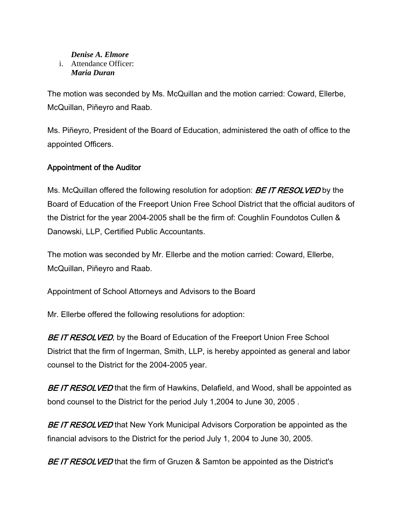#### *Denise A. Elmore* i. Attendance Officer: *Maria Duran*

The motion was seconded by Ms. McQuillan and the motion carried: Coward, Ellerbe, McQuillan, Piñeyro and Raab.

Ms. Piñeyro, President of the Board of Education, administered the oath of office to the appointed Officers.

# Appointment of the Auditor

Ms. McQuillan offered the following resolution for adoption: **BE IT RESOLVED** by the Board of Education of the Freeport Union Free School District that the official auditors of the District for the year 2004-2005 shall be the firm of: Coughlin Foundotos Cullen & Danowski, LLP, Certified Public Accountants.

The motion was seconded by Mr. Ellerbe and the motion carried: Coward, Ellerbe, McQuillan, Piñeyro and Raab.

Appointment of School Attorneys and Advisors to the Board

Mr. Ellerbe offered the following resolutions for adoption:

BE IT RESOLVED, by the Board of Education of the Freeport Union Free School District that the firm of Ingerman, Smith, LLP, is hereby appointed as general and labor counsel to the District for the 2004-2005 year.

BE IT RESOLVED that the firm of Hawkins, Delafield, and Wood, shall be appointed as bond counsel to the District for the period July 1,2004 to June 30, 2005 .

BE IT RESOLVED that New York Municipal Advisors Corporation be appointed as the financial advisors to the District for the period July 1, 2004 to June 30, 2005.

BE IT RESOLVED that the firm of Gruzen & Samton be appointed as the District's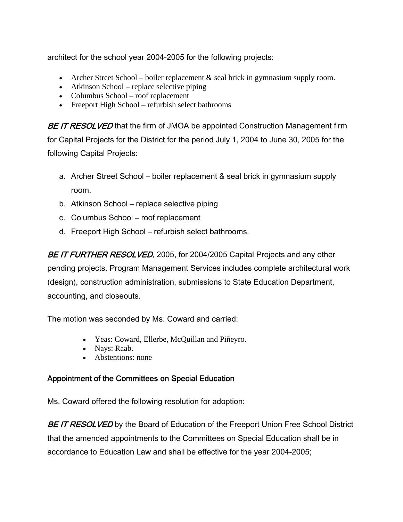architect for the school year 2004-2005 for the following projects:

- Archer Street School boiler replacement  $\&$  seal brick in gymnasium supply room.
- Atkinson School replace selective piping
- Columbus School roof replacement
- Freeport High School refurbish select bathrooms

BE IT RESOLVED that the firm of JMOA be appointed Construction Management firm for Capital Projects for the District for the period July 1, 2004 to June 30, 2005 for the following Capital Projects:

- a. Archer Street School boiler replacement & seal brick in gymnasium supply room.
- b. Atkinson School replace selective piping
- c. Columbus School roof replacement
- d. Freeport High School refurbish select bathrooms.

BE IT FURTHER RESOLVED, 2005, for 2004/2005 Capital Projects and any other pending projects. Program Management Services includes complete architectural work (design), construction administration, submissions to State Education Department, accounting, and closeouts.

The motion was seconded by Ms. Coward and carried:

- Yeas: Coward, Ellerbe, McQuillan and Piñeyro.
- Nays: Raab.
- Abstentions: none

# Appointment of the Committees on Special Education

Ms. Coward offered the following resolution for adoption:

BE IT RESOLVED by the Board of Education of the Freeport Union Free School District that the amended appointments to the Committees on Special Education shall be in accordance to Education Law and shall be effective for the year 2004-2005;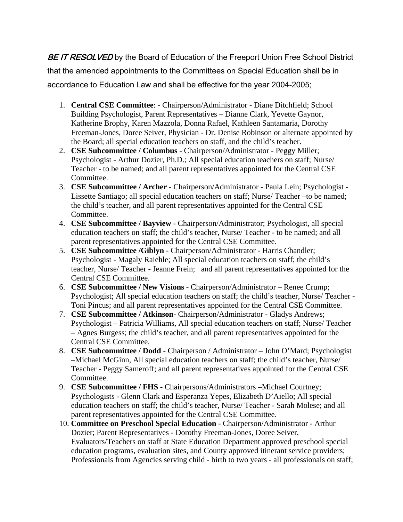BE IT RESOLVED by the Board of Education of the Freeport Union Free School District that the amended appointments to the Committees on Special Education shall be in accordance to Education Law and shall be effective for the year 2004-2005;

- 1. **Central CSE Committee**: Chairperson/Administrator Diane Ditchfield; School Building Psychologist, Parent Representatives – Dianne Clark, Yevette Gaynor, Katherine Brophy, Karen Mazzola, Donna Rafael, Kathleen Santamaria, Dorothy Freeman-Jones, Doree Seiver, Physician - Dr. Denise Robinson or alternate appointed by the Board; all special education teachers on staff, and the child's teacher.
- 2. **CSE Subcommittee / Columbus** Chairperson/Administrator Peggy Miller; Psychologist - Arthur Dozier, Ph.D.; All special education teachers on staff; Nurse/ Teacher - to be named; and all parent representatives appointed for the Central CSE Committee.
- 3. **CSE Subcommittee / Archer** Chairperson/Administrator Paula Lein; Psychologist Lissette Santiago; all special education teachers on staff; Nurse/ Teacher –to be named; the child's teacher, and all parent representatives appointed for the Central CSE Committee.
- 4. **CSE Subcommittee / Bayview** Chairperson/Administrator; Psychologist, all special education teachers on staff; the child's teacher, Nurse/ Teacher - to be named; and all parent representatives appointed for the Central CSE Committee.
- 5. **CSE Subcommittee /Giblyn** Chairperson/Administrator Harris Chandler; Psychologist - Magaly Raiehle; All special education teachers on staff; the child's teacher, Nurse/ Teacher - Jeanne Frein; and all parent representatives appointed for the Central CSE Committee.
- 6. **CSE Subcommittee / New Visions** Chairperson/Administrator Renee Crump; Psychologist; All special education teachers on staff; the child's teacher, Nurse/ Teacher - Toni Pincus; and all parent representatives appointed for the Central CSE Committee.
- 7. **CSE Subcommittee / Atkinson** Chairperson/Administrator Gladys Andrews; Psychologist – Patricia Williams, All special education teachers on staff; Nurse/ Teacher – Agnes Burgess; the child's teacher, and all parent representatives appointed for the Central CSE Committee.
- 8. **CSE Subcommittee / Dodd** Chairperson / Administrator John O'Mard; Psychologist –Michael McGinn, All special education teachers on staff; the child's teacher, Nurse/ Teacher - Peggy Sameroff; and all parent representatives appointed for the Central CSE Committee.
- 9. **CSE Subcommittee / FHS** Chairpersons/Administrators –Michael Courtney; Psychologists - Glenn Clark and Esperanza Yepes, Elizabeth D'Aiello; All special education teachers on staff; the child's teacher, Nurse/ Teacher - Sarah Molese; and all parent representatives appointed for the Central CSE Committee.
- 10. **Committee on Preschool Special Education** Chairperson/Administrator Arthur Dozier; Parent Representatives - Dorothy Freeman-Jones, Doree Seiver, Evaluators/Teachers on staff at State Education Department approved preschool special education programs, evaluation sites, and County approved itinerant service providers; Professionals from Agencies serving child - birth to two years - all professionals on staff;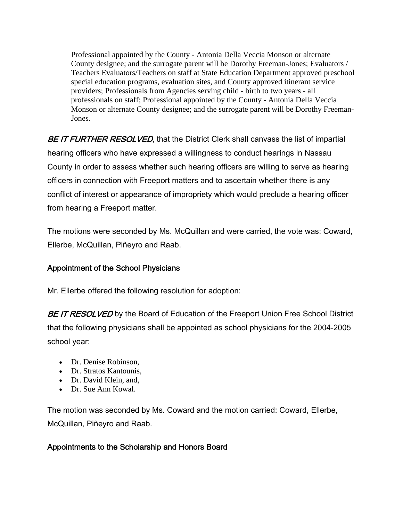Professional appointed by the County - Antonia Della Veccia Monson or alternate County designee; and the surrogate parent will be Dorothy Freeman-Jones; Evaluators / Teachers Evaluators/Teachers on staff at State Education Department approved preschool special education programs, evaluation sites, and County approved itinerant service providers; Professionals from Agencies serving child - birth to two years - all professionals on staff; Professional appointed by the County - Antonia Della Veccia Monson or alternate County designee; and the surrogate parent will be Dorothy Freeman-Jones.

BE IT FURTHER RESOLVED, that the District Clerk shall canvass the list of impartial hearing officers who have expressed a willingness to conduct hearings in Nassau County in order to assess whether such hearing officers are willing to serve as hearing officers in connection with Freeport matters and to ascertain whether there is any conflict of interest or appearance of impropriety which would preclude a hearing officer from hearing a Freeport matter.

The motions were seconded by Ms. McQuillan and were carried, the vote was: Coward, Ellerbe, McQuillan, Piñeyro and Raab.

# Appointment of the School Physicians

Mr. Ellerbe offered the following resolution for adoption:

BE IT RESOLVED by the Board of Education of the Freeport Union Free School District that the following physicians shall be appointed as school physicians for the 2004-2005 school year:

- Dr. Denise Robinson,
- Dr. Stratos Kantounis,
- Dr. David Klein, and,
- Dr. Sue Ann Kowal.

The motion was seconded by Ms. Coward and the motion carried: Coward, Ellerbe, McQuillan, Piñeyro and Raab.

# Appointments to the Scholarship and Honors Board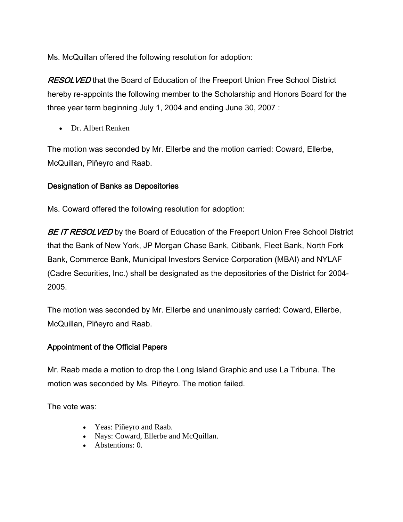Ms. McQuillan offered the following resolution for adoption:

**RESOLVED** that the Board of Education of the Freeport Union Free School District hereby re-appoints the following member to the Scholarship and Honors Board for the three year term beginning July 1, 2004 and ending June 30, 2007 :

• Dr. Albert Renken

The motion was seconded by Mr. Ellerbe and the motion carried: Coward, Ellerbe, McQuillan, Piñeyro and Raab.

# Designation of Banks as Depositories

Ms. Coward offered the following resolution for adoption:

BE IT RESOLVED by the Board of Education of the Freeport Union Free School District that the Bank of New York, JP Morgan Chase Bank, Citibank, Fleet Bank, North Fork Bank, Commerce Bank, Municipal Investors Service Corporation (MBAI) and NYLAF (Cadre Securities, Inc.) shall be designated as the depositories of the District for 2004- 2005.

The motion was seconded by Mr. Ellerbe and unanimously carried: Coward, Ellerbe, McQuillan, Piñeyro and Raab.

# Appointment of the Official Papers

Mr. Raab made a motion to drop the Long Island Graphic and use La Tribuna. The motion was seconded by Ms. Piñeyro. The motion failed.

The vote was:

- Yeas: Piñeyro and Raab.
- Nays: Coward, Ellerbe and McQuillan.
- Abstentions: 0.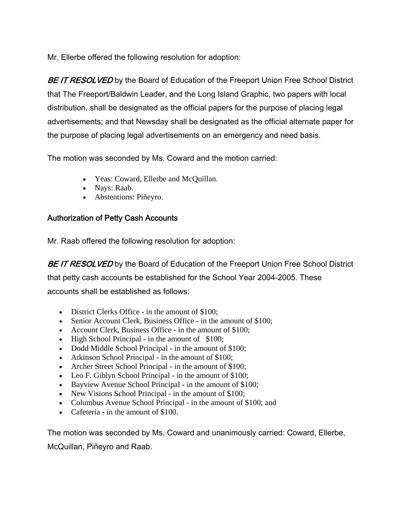Mr. Ellerbe offered the following resolution for adoption:

BE IT RESOLVED by the Board of Education of the Freeport Union Free School District that The Freeport/Baldwin Leader, and the Long Island Graphic, two papers with local distribution, shall be designated as the official papers for the purpose of placing legal advertisements; and that Newsday shall be designated as the official alternate paper for the purpose of placing legal advertisements on an emergency and need basis.

The motion was seconded by Ms. Coward and the motion carried:

- Yeas: Coward, Ellerbe and McQuillan.
- Nays: Raab.
- Abstentions: Piñeyro.

# Authorization of Petty Cash Accounts

Mr. Raab offered the following resolution for adoption:

BE IT RESOLVED by the Board of Education of the Freeport Union Free School District that petty cash accounts be established for the School Year 2004-2005. These accounts shall be established as follows:

- District Clerks Office in the amount of \$100;
- Senior Account Clerk, Business Office in the amount of \$100;
- Account Clerk, Business Office in the amount of \$100;
- High School Principal in the amount of \$100;
- Dodd Middle School Principal in the amount of \$100;
- Atkinson School Principal in the amount of \$100;
- Archer Street School Principal in the amount of \$100;
- Leo F. Giblyn School Principal in the amount of \$100;
- Bayview Avenue School Principal in the amount of \$100;
- New Visions School Principal in the amount of \$100;
- Columbus Avenue School Principal in the amount of \$100; and
- Cafeteria in the amount of \$100.

The motion was seconded by Ms. Coward and unanimously carried: Coward, Ellerbe, McQuillan, Piñeyro and Raab.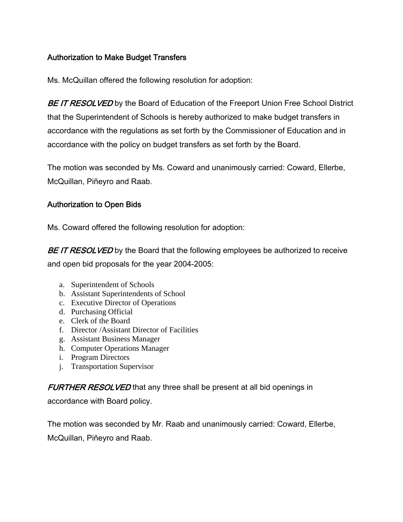# Authorization to Make Budget Transfers

Ms. McQuillan offered the following resolution for adoption:

BE IT RESOLVED by the Board of Education of the Freeport Union Free School District that the Superintendent of Schools is hereby authorized to make budget transfers in accordance with the regulations as set forth by the Commissioner of Education and in accordance with the policy on budget transfers as set forth by the Board.

The motion was seconded by Ms. Coward and unanimously carried: Coward, Ellerbe, McQuillan, Piñeyro and Raab.

# Authorization to Open Bids

Ms. Coward offered the following resolution for adoption:

BE IT RESOLVED by the Board that the following employees be authorized to receive and open bid proposals for the year 2004-2005:

- a. Superintendent of Schools
- b. Assistant Superintendents of School
- c. Executive Director of Operations
- d. Purchasing Official
- e. Clerk of the Board
- f. Director /Assistant Director of Facilities
- g. Assistant Business Manager
- h. Computer Operations Manager
- i. Program Directors
- j. Transportation Supervisor

FURTHER RESOLVED that any three shall be present at all bid openings in

accordance with Board policy.

The motion was seconded by Mr. Raab and unanimously carried: Coward, Ellerbe, McQuillan, Piñeyro and Raab.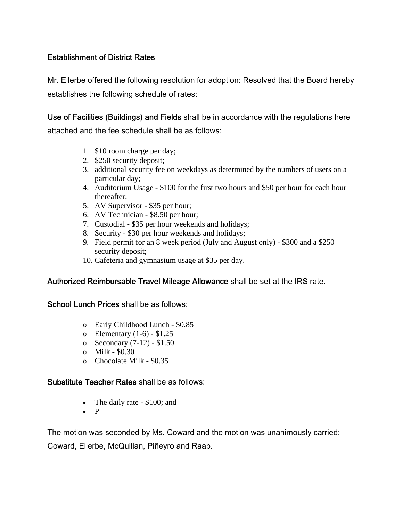# Establishment of District Rates

Mr. Ellerbe offered the following resolution for adoption: Resolved that the Board hereby establishes the following schedule of rates:

Use of Facilities (Buildings) and Fields shall be in accordance with the regulations here attached and the fee schedule shall be as follows:

- 1. \$10 room charge per day;
- 2. \$250 security deposit;
- 3. additional security fee on weekdays as determined by the numbers of users on a particular day;
- 4. Auditorium Usage \$100 for the first two hours and \$50 per hour for each hour thereafter;
- 5. AV Supervisor \$35 per hour;
- 6. AV Technician \$8.50 per hour;
- 7. Custodial \$35 per hour weekends and holidays;
- 8. Security \$30 per hour weekends and holidays;
- 9. Field permit for an 8 week period (July and August only) \$300 and a \$250 security deposit;
- 10. Cafeteria and gymnasium usage at \$35 per day.

# Authorized Reimbursable Travel Mileage Allowance shall be set at the IRS rate.

School Lunch Prices shall be as follows:

- o Early Childhood Lunch \$0.85
- $\circ$  Elementary (1-6) \$1.25
- o Secondary (7-12) \$1.50
- o Milk \$0.30
- o Chocolate Milk \$0.35

#### Substitute Teacher Rates shall be as follows:

- The daily rate \$100; and
- P

The motion was seconded by Ms. Coward and the motion was unanimously carried:

Coward, Ellerbe, McQuillan, Piñeyro and Raab.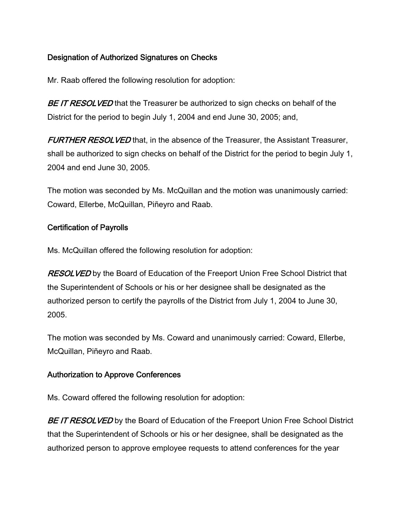# Designation of Authorized Signatures on Checks

Mr. Raab offered the following resolution for adoption:

BE IT RESOLVED that the Treasurer be authorized to sign checks on behalf of the District for the period to begin July 1, 2004 and end June 30, 2005; and,

FURTHER RESOLVED that, in the absence of the Treasurer, the Assistant Treasurer, shall be authorized to sign checks on behalf of the District for the period to begin July 1, 2004 and end June 30, 2005.

The motion was seconded by Ms. McQuillan and the motion was unanimously carried: Coward, Ellerbe, McQuillan, Piñeyro and Raab.

# Certification of Payrolls

Ms. McQuillan offered the following resolution for adoption:

**RESOLVED** by the Board of Education of the Freeport Union Free School District that the Superintendent of Schools or his or her designee shall be designated as the authorized person to certify the payrolls of the District from July 1, 2004 to June 30, 2005.

The motion was seconded by Ms. Coward and unanimously carried: Coward, Ellerbe, McQuillan, Piñeyro and Raab.

#### Authorization to Approve Conferences

Ms. Coward offered the following resolution for adoption:

BE IT RESOLVED by the Board of Education of the Freeport Union Free School District that the Superintendent of Schools or his or her designee, shall be designated as the authorized person to approve employee requests to attend conferences for the year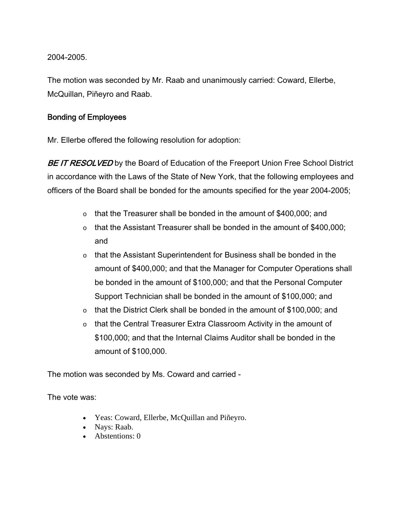2004-2005.

The motion was seconded by Mr. Raab and unanimously carried: Coward, Ellerbe, McQuillan, Piñeyro and Raab.

# Bonding of Employees

Mr. Ellerbe offered the following resolution for adoption:

BE IT RESOLVED by the Board of Education of the Freeport Union Free School District in accordance with the Laws of the State of New York, that the following employees and officers of the Board shall be bonded for the amounts specified for the year 2004-2005;

- o that the Treasurer shall be bonded in the amount of \$400,000; and
- $\circ$  that the Assistant Treasurer shall be bonded in the amount of \$400,000; and
- o that the Assistant Superintendent for Business shall be bonded in the amount of \$400,000; and that the Manager for Computer Operations shall be bonded in the amount of \$100,000; and that the Personal Computer Support Technician shall be bonded in the amount of \$100,000; and
- $\circ$  that the District Clerk shall be bonded in the amount of \$100,000; and
- $\circ$  that the Central Treasurer Extra Classroom Activity in the amount of \$100,000; and that the Internal Claims Auditor shall be bonded in the amount of \$100,000.

The motion was seconded by Ms. Coward and carried -

The vote was:

- Yeas: Coward, Ellerbe, McQuillan and Piñeyro.
- Nays: Raab.
- Abstentions: 0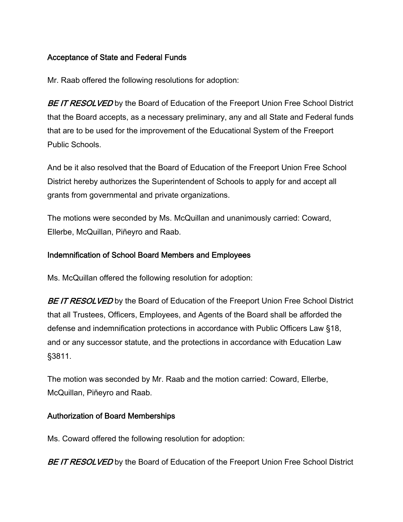# Acceptance of State and Federal Funds

Mr. Raab offered the following resolutions for adoption:

BE IT RESOLVED by the Board of Education of the Freeport Union Free School District that the Board accepts, as a necessary preliminary, any and all State and Federal funds that are to be used for the improvement of the Educational System of the Freeport Public Schools.

And be it also resolved that the Board of Education of the Freeport Union Free School District hereby authorizes the Superintendent of Schools to apply for and accept all grants from governmental and private organizations.

The motions were seconded by Ms. McQuillan and unanimously carried: Coward, Ellerbe, McQuillan, Piñeyro and Raab.

# Indemnification of School Board Members and Employees

Ms. McQuillan offered the following resolution for adoption:

BE IT RESOLVED by the Board of Education of the Freeport Union Free School District that all Trustees, Officers, Employees, and Agents of the Board shall be afforded the defense and indemnification protections in accordance with Public Officers Law §18, and or any successor statute, and the protections in accordance with Education Law §3811.

The motion was seconded by Mr. Raab and the motion carried: Coward, Ellerbe, McQuillan, Piñeyro and Raab.

# Authorization of Board Memberships

Ms. Coward offered the following resolution for adoption:

BE IT RESOLVED by the Board of Education of the Freeport Union Free School District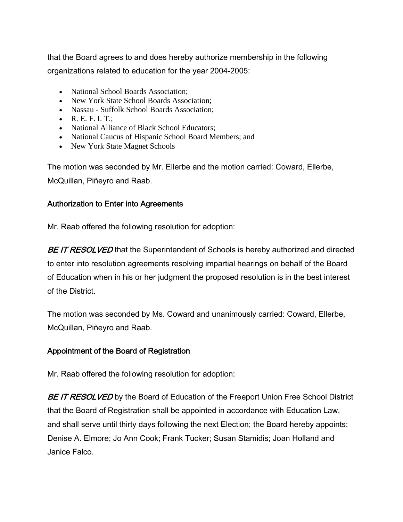that the Board agrees to and does hereby authorize membership in the following organizations related to education for the year 2004-2005:

- National School Boards Association:
- New York State School Boards Association;
- Nassau Suffolk School Boards Association:
- R. E. F. I. T.;
- National Alliance of Black School Educators:
- National Caucus of Hispanic School Board Members; and
- New York State Magnet Schools

The motion was seconded by Mr. Ellerbe and the motion carried: Coward, Ellerbe, McQuillan, Piñeyro and Raab.

### Authorization to Enter into Agreements

Mr. Raab offered the following resolution for adoption:

BE IT RESOLVED that the Superintendent of Schools is hereby authorized and directed to enter into resolution agreements resolving impartial hearings on behalf of the Board of Education when in his or her judgment the proposed resolution is in the best interest of the District.

The motion was seconded by Ms. Coward and unanimously carried: Coward, Ellerbe, McQuillan, Piñeyro and Raab.

# Appointment of the Board of Registration

Mr. Raab offered the following resolution for adoption:

BE IT RESOLVED by the Board of Education of the Freeport Union Free School District that the Board of Registration shall be appointed in accordance with Education Law, and shall serve until thirty days following the next Election; the Board hereby appoints: Denise A. Elmore; Jo Ann Cook; Frank Tucker; Susan Stamidis; Joan Holland and Janice Falco.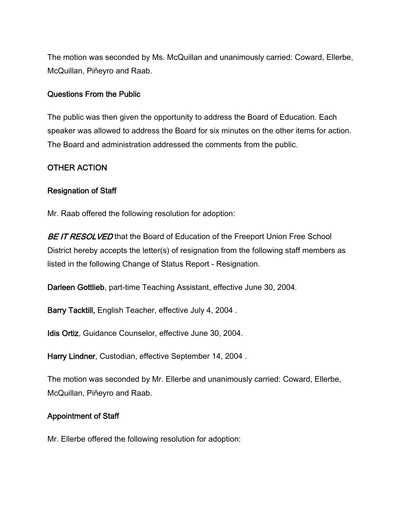The motion was seconded by Ms. McQuillan and unanimously carried: Coward, Ellerbe, McQuillan, Piñeyro and Raab.

#### Questions From the Public

The public was then given the opportunity to address the Board of Education. Each speaker was allowed to address the Board for six minutes on the other items for action. The Board and administration addressed the comments from the public.

#### OTHER ACTION

#### Resignation of Staff

Mr. Raab offered the following resolution for adoption:

BE IT RESOLVED that the Board of Education of the Freeport Union Free School District hereby accepts the letter(s) of resignation from the following staff members as listed in the following Change of Status Report - Resignation.

Darleen Gottlieb, part-time Teaching Assistant, effective June 30, 2004.

Barry Tacktill, English Teacher, effective July 4, 2004 .

Idis Ortiz, Guidance Counselor, effective June 30, 2004.

Harry Lindner, Custodian, effective September 14, 2004 .

The motion was seconded by Mr. Ellerbe and unanimously carried: Coward, Ellerbe, McQuillan, Piñeyro and Raab.

#### Appointment of Staff

Mr. Ellerbe offered the following resolution for adoption: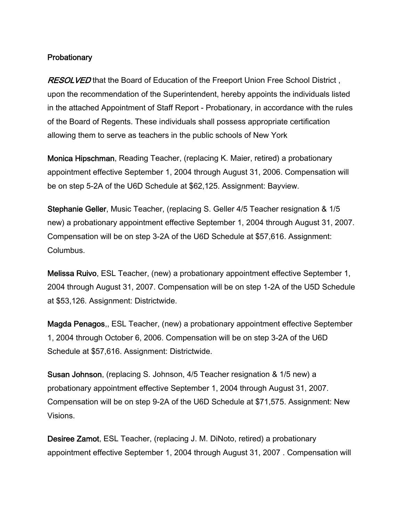### **Probationary**

RESOLVED that the Board of Education of the Freeport Union Free School District, upon the recommendation of the Superintendent, hereby appoints the individuals listed in the attached Appointment of Staff Report - Probationary, in accordance with the rules of the Board of Regents. These individuals shall possess appropriate certification allowing them to serve as teachers in the public schools of New York

Monica Hipschman, Reading Teacher, (replacing K. Maier, retired) a probationary appointment effective September 1, 2004 through August 31, 2006. Compensation will be on step 5-2A of the U6D Schedule at \$62,125. Assignment: Bayview.

Stephanie Geller, Music Teacher, (replacing S. Geller 4/5 Teacher resignation & 1/5 new) a probationary appointment effective September 1, 2004 through August 31, 2007. Compensation will be on step 3-2A of the U6D Schedule at \$57,616. Assignment: Columbus.

Melissa Ruivo, ESL Teacher, (new) a probationary appointment effective September 1, 2004 through August 31, 2007. Compensation will be on step 1-2A of the U5D Schedule at \$53,126. Assignment: Districtwide.

Magda Penagos,, ESL Teacher, (new) a probationary appointment effective September 1, 2004 through October 6, 2006. Compensation will be on step 3-2A of the U6D Schedule at \$57,616. Assignment: Districtwide.

Susan Johnson, (replacing S. Johnson, 4/5 Teacher resignation & 1/5 new) a probationary appointment effective September 1, 2004 through August 31, 2007. Compensation will be on step 9-2A of the U6D Schedule at \$71,575. Assignment: New Visions.

Desiree Zamot, ESL Teacher, (replacing J. M. DiNoto, retired) a probationary appointment effective September 1, 2004 through August 31, 2007 . Compensation will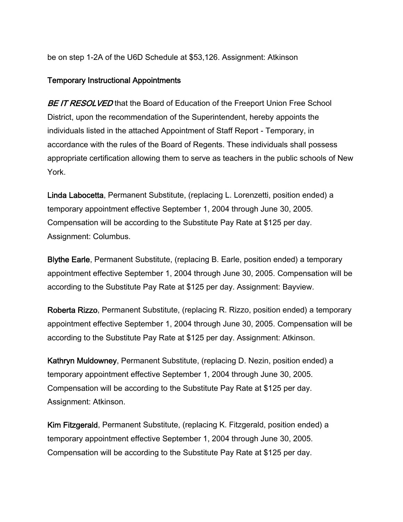be on step 1-2A of the U6D Schedule at \$53,126. Assignment: Atkinson

#### Temporary Instructional Appointments

BE IT RESOLVED that the Board of Education of the Freeport Union Free School District, upon the recommendation of the Superintendent, hereby appoints the individuals listed in the attached Appointment of Staff Report - Temporary, in accordance with the rules of the Board of Regents. These individuals shall possess appropriate certification allowing them to serve as teachers in the public schools of New York.

Linda Labocetta, Permanent Substitute, (replacing L. Lorenzetti, position ended) a temporary appointment effective September 1, 2004 through June 30, 2005. Compensation will be according to the Substitute Pay Rate at \$125 per day. Assignment: Columbus.

Blythe Earle, Permanent Substitute, (replacing B. Earle, position ended) a temporary appointment effective September 1, 2004 through June 30, 2005. Compensation will be according to the Substitute Pay Rate at \$125 per day. Assignment: Bayview.

Roberta Rizzo, Permanent Substitute, (replacing R. Rizzo, position ended) a temporary appointment effective September 1, 2004 through June 30, 2005. Compensation will be according to the Substitute Pay Rate at \$125 per day. Assignment: Atkinson.

Kathryn Muldowney, Permanent Substitute, (replacing D. Nezin, position ended) a temporary appointment effective September 1, 2004 through June 30, 2005. Compensation will be according to the Substitute Pay Rate at \$125 per day. Assignment: Atkinson.

Kim Fitzgerald, Permanent Substitute, (replacing K. Fitzgerald, position ended) a temporary appointment effective September 1, 2004 through June 30, 2005. Compensation will be according to the Substitute Pay Rate at \$125 per day.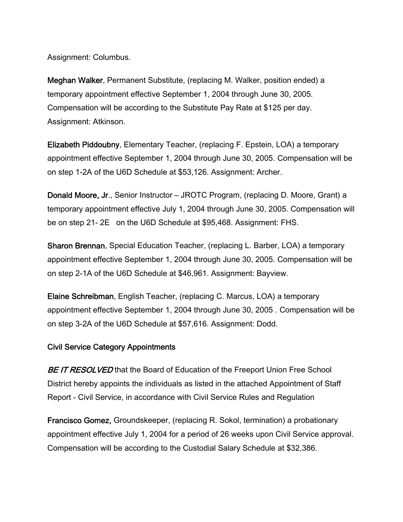Assignment: Columbus.

Meghan Walker, Permanent Substitute, (replacing M. Walker, position ended) a temporary appointment effective September 1, 2004 through June 30, 2005. Compensation will be according to the Substitute Pay Rate at \$125 per day. Assignment: Atkinson.

Elizabeth Piddoubny, Elementary Teacher, (replacing F. Epstein, LOA) a temporary appointment effective September 1, 2004 through June 30, 2005. Compensation will be on step 1-2A of the U6D Schedule at \$53,126. Assignment: Archer.

Donald Moore, Jr., Senior Instructor – JROTC Program, (replacing D. Moore, Grant) a temporary appointment effective July 1, 2004 through June 30, 2005. Compensation will be on step 21- 2E on the U6D Schedule at \$95,468. Assignment: FHS.

Sharon Brennan, Special Education Teacher, (replacing L. Barber, LOA) a temporary appointment effective September 1, 2004 through June 30, 2005. Compensation will be on step 2-1A of the U6D Schedule at \$46,961. Assignment: Bayview.

Elaine Schreibman, English Teacher, (replacing C. Marcus, LOA) a temporary appointment effective September 1, 2004 through June 30, 2005 . Compensation will be on step 3-2A of the U6D Schedule at \$57,616. Assignment: Dodd.

# Civil Service Category Appointments

BE IT RESOLVED that the Board of Education of the Freeport Union Free School District hereby appoints the individuals as listed in the attached Appointment of Staff Report - Civil Service, in accordance with Civil Service Rules and Regulation

Francisco Gomez, Groundskeeper, (replacing R. Sokol, termination) a probationary appointment effective July 1, 2004 for a period of 26 weeks upon Civil Service approval. Compensation will be according to the Custodial Salary Schedule at \$32,386.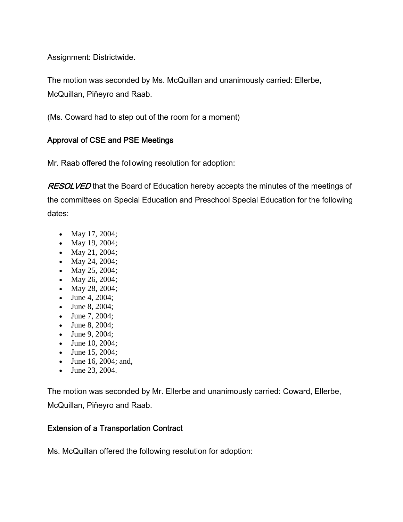Assignment: Districtwide.

The motion was seconded by Ms. McQuillan and unanimously carried: Ellerbe, McQuillan, Piñeyro and Raab.

(Ms. Coward had to step out of the room for a moment)

# Approval of CSE and PSE Meetings

Mr. Raab offered the following resolution for adoption:

RESOLVED that the Board of Education hereby accepts the minutes of the meetings of the committees on Special Education and Preschool Special Education for the following dates:

- May 17, 2004;
- May 19, 2004;
- May 21, 2004;
- May 24, 2004;
- May 25, 2004;
- May 26, 2004;
- May 28, 2004;
- June 4, 2004;
- June 8, 2004;
- June 7, 2004;
- June 8, 2004;
- June 9, 2004;
- June 10, 2004;
- June 15, 2004;
- June 16, 2004; and,
- June 23, 2004.

The motion was seconded by Mr. Ellerbe and unanimously carried: Coward, Ellerbe, McQuillan, Piñeyro and Raab.

# Extension of a Transportation Contract

Ms. McQuillan offered the following resolution for adoption: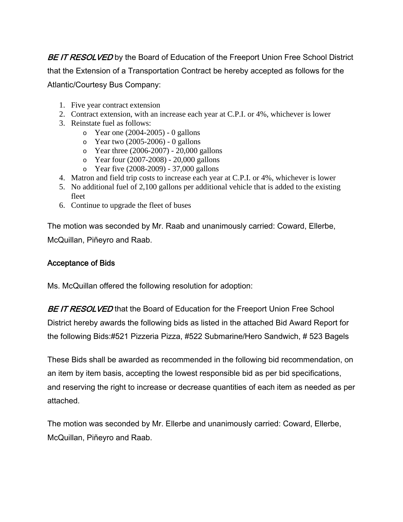BE IT RESOLVED by the Board of Education of the Freeport Union Free School District that the Extension of a Transportation Contract be hereby accepted as follows for the Atlantic/Courtesy Bus Company:

- 1. Five year contract extension
- 2. Contract extension, with an increase each year at C.P.I. or 4%, whichever is lower
- 3. Reinstate fuel as follows:
	- o Year one (2004-2005) 0 gallons
	- o Year two (2005-2006) 0 gallons
	- o Year three (2006-2007) 20,000 gallons
	- o Year four (2007-2008) 20,000 gallons
	- o Year five (2008-2009) 37,000 gallons
- 4. Matron and field trip costs to increase each year at C.P.I. or 4%, whichever is lower
- 5. No additional fuel of 2,100 gallons per additional vehicle that is added to the existing fleet
- 6. Continue to upgrade the fleet of buses

The motion was seconded by Mr. Raab and unanimously carried: Coward, Ellerbe, McQuillan, Piñeyro and Raab.

### Acceptance of Bids

Ms. McQuillan offered the following resolution for adoption:

BE IT RESOLVED that the Board of Education for the Freeport Union Free School District hereby awards the following bids as listed in the attached Bid Award Report for the following Bids:#521 Pizzeria Pizza, #522 Submarine/Hero Sandwich, # 523 Bagels

These Bids shall be awarded as recommended in the following bid recommendation, on an item by item basis, accepting the lowest responsible bid as per bid specifications, and reserving the right to increase or decrease quantities of each item as needed as per attached.

The motion was seconded by Mr. Ellerbe and unanimously carried: Coward, Ellerbe, McQuillan, Piñeyro and Raab.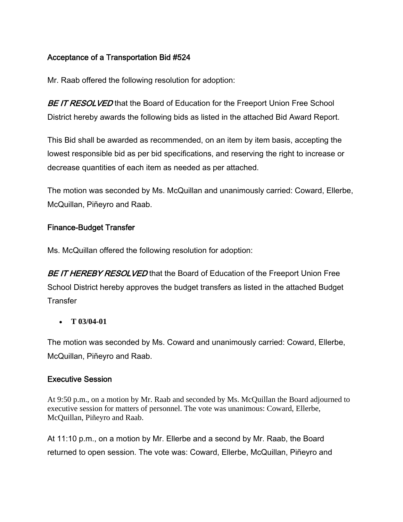# Acceptance of a Transportation Bid #524

Mr. Raab offered the following resolution for adoption:

BE IT RESOLVED that the Board of Education for the Freeport Union Free School District hereby awards the following bids as listed in the attached Bid Award Report.

This Bid shall be awarded as recommended, on an item by item basis, accepting the lowest responsible bid as per bid specifications, and reserving the right to increase or decrease quantities of each item as needed as per attached.

The motion was seconded by Ms. McQuillan and unanimously carried: Coward, Ellerbe, McQuillan, Piñeyro and Raab.

# Finance-Budget Transfer

Ms. McQuillan offered the following resolution for adoption:

BE IT HEREBY RESOLVED that the Board of Education of the Freeport Union Free School District hereby approves the budget transfers as listed in the attached Budget **Transfer** 

• **T 03/04-01** 

The motion was seconded by Ms. Coward and unanimously carried: Coward, Ellerbe, McQuillan, Piñeyro and Raab.

#### Executive Session

At 9:50 p.m., on a motion by Mr. Raab and seconded by Ms. McQuillan the Board adjourned to executive session for matters of personnel. The vote was unanimous: Coward, Ellerbe, McQuillan, Piñeyro and Raab.

At 11:10 p.m., on a motion by Mr. Ellerbe and a second by Mr. Raab, the Board returned to open session. The vote was: Coward, Ellerbe, McQuillan, Piñeyro and